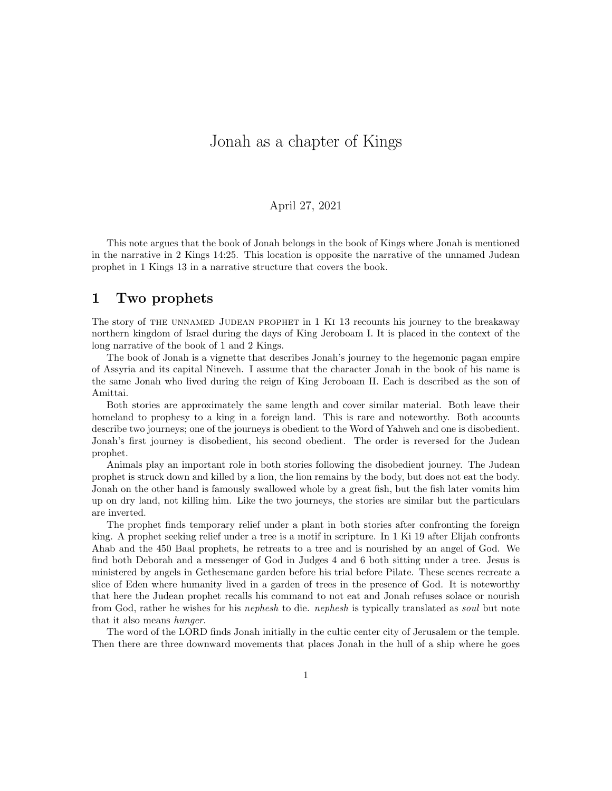# Jonah as a chapter of Kings

#### April 27, 2021

This note argues that the book of Jonah belongs in the book of Kings where Jonah is mentioned in the narrative in 2 Kings 14:25. This location is opposite the narrative of the unnamed Judean prophet in 1 Kings 13 in a narrative structure that covers the book.

# 1 Two prophets

The story of THE UNNAMED JUDEAN PROPHET in 1 K<sub>i</sub> 13 recounts his journey to the breakaway northern kingdom of Israel during the days of King Jeroboam I. It is placed in the context of the long narrative of the book of 1 and 2 Kings.

The book of Jonah is a vignette that describes Jonah's journey to the hegemonic pagan empire of Assyria and its capital Nineveh. I assume that the character Jonah in the book of his name is the same Jonah who lived during the reign of King Jeroboam II. Each is described as the son of Amittai.

Both stories are approximately the same length and cover similar material. Both leave their homeland to prophesy to a king in a foreign land. This is rare and noteworthy. Both accounts describe two journeys; one of the journeys is obedient to the Word of Yahweh and one is disobedient. Jonah's first journey is disobedient, his second obedient. The order is reversed for the Judean prophet.

Animals play an important role in both stories following the disobedient journey. The Judean prophet is struck down and killed by a lion, the lion remains by the body, but does not eat the body. Jonah on the other hand is famously swallowed whole by a great fish, but the fish later vomits him up on dry land, not killing him. Like the two journeys, the stories are similar but the particulars are inverted.

The prophet finds temporary relief under a plant in both stories after confronting the foreign king. A prophet seeking relief under a tree is a motif in scripture. In 1 Ki 19 after Elijah confronts Ahab and the 450 Baal prophets, he retreats to a tree and is nourished by an angel of God. We find both Deborah and a messenger of God in Judges 4 and 6 both sitting under a tree. Jesus is ministered by angels in Gethesemane garden before his trial before Pilate. These scenes recreate a slice of Eden where humanity lived in a garden of trees in the presence of God. It is noteworthy that here the Judean prophet recalls his command to not eat and Jonah refuses solace or nourish from God, rather he wishes for his nephesh to die. nephesh is typically translated as soul but note that it also means hunger.

The word of the LORD finds Jonah initially in the cultic center city of Jerusalem or the temple. Then there are three downward movements that places Jonah in the hull of a ship where he goes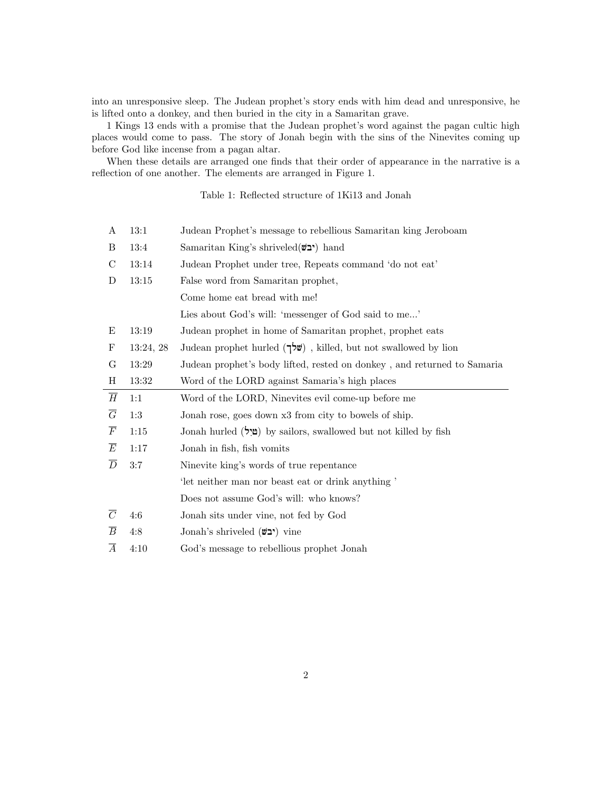into an unresponsive sleep. The Judean prophet's story ends with him dead and unresponsive, he is lifted onto a donkey, and then buried in the city in a Samaritan grave.

1 Kings 13 ends with a promise that the Judean prophet's word against the pagan cultic high places would come to pass. The story of Jonah begin with the sins of the Ninevites coming up before God like incense from a pagan altar.

When these details are arranged one finds that their order of appearance in the narrative is a reflection of one another. The elements are arranged in Figure 1.

Table 1: Reflected structure of 1Ki13 and Jonah

| A               | 13:1      | Judean Prophet's message to rebellious Samaritan king Jeroboam          |
|-----------------|-----------|-------------------------------------------------------------------------|
| B               | 13:4      | Samaritan King's shriveled ( $\vec{w}$ יבי) hand                        |
| $\mathcal{C}$   | 13:14     | Judean Prophet under tree, Repeats command 'do not eat'                 |
| D               | 13:15     | False word from Samaritan prophet,                                      |
|                 |           | Come home eat bread with me!                                            |
|                 |           | Lies about God's will: 'messenger of God said to me'                    |
| Ε               | 13:19     | Judean prophet in home of Samaritan prophet, prophet eats               |
| ${\bf F}$       | 13:24, 28 | Judean prophet hurled $(\vec{v})$ , killed, but not swallowed by lion   |
| G               | 13:29     | Judean prophet's body lifted, rested on donkey, and returned to Samaria |
| Η               | 13:32     | Word of the LORD against Samaria's high places                          |
| $\overline{H}$  | 1:1       | Word of the LORD, Ninevites evil come-up before me                      |
| $\overline{G}$  | 1:3       | Jonah rose, goes down x3 from city to bowels of ship.                   |
| $\overline F{}$ | 1:15      | Jonah hurled (שֵׁיָל) by sailors, swallowed but not killed by fish      |
| $\overline{E}$  |           |                                                                         |
|                 | 1:17      | Jonah in fish, fish vomits                                              |
| $\overline{D}$  | 3:7       | Ninevite king's words of true repentance                                |
|                 |           | 'let neither man nor beast eat or drink anything'                       |
|                 |           | Does not assume God's will: who knows?                                  |
| $\overline{C}$  | 4:6       | Jonah sits under vine, not fed by God                                   |
| $\overline{B}$  | 4:8       | Jonah's shriveled (יבשׁ) vine                                           |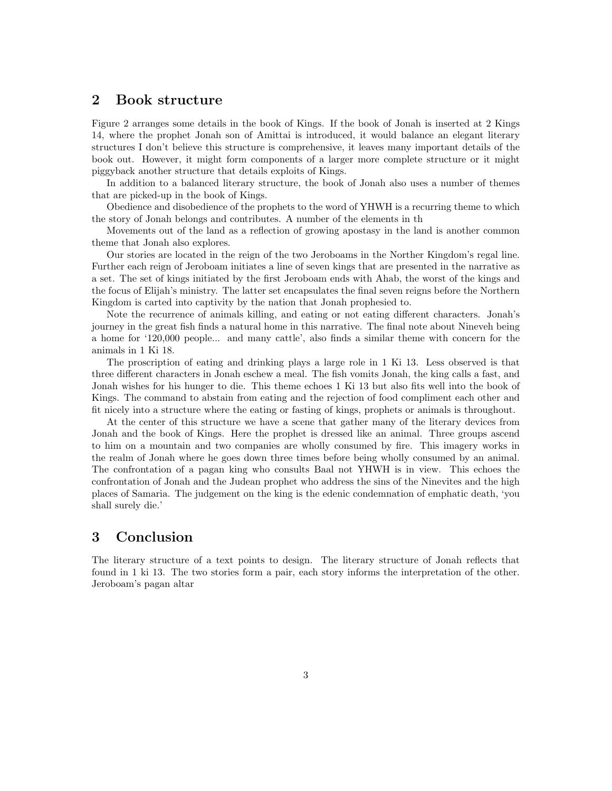# 2 Book structure

Figure 2 arranges some details in the book of Kings. If the book of Jonah is inserted at 2 Kings 14, where the prophet Jonah son of Amittai is introduced, it would balance an elegant literary structures I don't believe this structure is comprehensive, it leaves many important details of the book out. However, it might form components of a larger more complete structure or it might piggyback another structure that details exploits of Kings.

In addition to a balanced literary structure, the book of Jonah also uses a number of themes that are picked-up in the book of Kings.

Obedience and disobedience of the prophets to the word of YHWH is a recurring theme to which the story of Jonah belongs and contributes. A number of the elements in th

Movements out of the land as a reflection of growing apostasy in the land is another common theme that Jonah also explores.

Our stories are located in the reign of the two Jeroboams in the Norther Kingdom's regal line. Further each reign of Jeroboam initiates a line of seven kings that are presented in the narrative as a set. The set of kings initiated by the first Jeroboam ends with Ahab, the worst of the kings and the focus of Elijah's ministry. The latter set encapsulates the final seven reigns before the Northern Kingdom is carted into captivity by the nation that Jonah prophesied to.

Note the recurrence of animals killing, and eating or not eating different characters. Jonah's journey in the great fish finds a natural home in this narrative. The final note about Nineveh being a home for '120,000 people... and many cattle', also finds a similar theme with concern for the animals in 1 Ki 18.

The proscription of eating and drinking plays a large role in 1 Ki 13. Less observed is that three different characters in Jonah eschew a meal. The fish vomits Jonah, the king calls a fast, and Jonah wishes for his hunger to die. This theme echoes 1 Ki 13 but also fits well into the book of Kings. The command to abstain from eating and the rejection of food compliment each other and fit nicely into a structure where the eating or fasting of kings, prophets or animals is throughout.

At the center of this structure we have a scene that gather many of the literary devices from Jonah and the book of Kings. Here the prophet is dressed like an animal. Three groups ascend to him on a mountain and two companies are wholly consumed by fire. This imagery works in the realm of Jonah where he goes down three times before being wholly consumed by an animal. The confrontation of a pagan king who consults Baal not YHWH is in view. This echoes the confrontation of Jonah and the Judean prophet who address the sins of the Ninevites and the high places of Samaria. The judgement on the king is the edenic condemnation of emphatic death, 'you shall surely die.'

### 3 Conclusion

The literary structure of a text points to design. The literary structure of Jonah reflects that found in 1 ki 13. The two stories form a pair, each story informs the interpretation of the other. Jeroboam's pagan altar